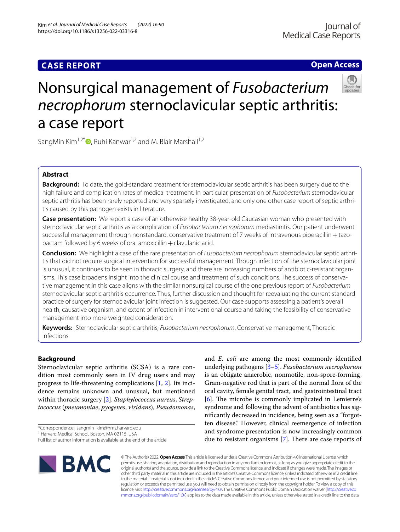# **Open Access**



# Nonsurgical management of *Fusobacterium necrophorum* sternoclavicular septic arthritis: a case report

SangMin Kim<sup>1,2\*</sup>  $\bullet$ [,](http://orcid.org/0000-0003-2921-9738) Ruhi Kanwar<sup>1,2</sup> and M. Blair Marshall<sup>1,2</sup>

# **Abstract**

**Background:** To date, the gold-standard treatment for sternoclavicular septic arthritis has been surgery due to the high failure and complication rates of medical treatment. In particular, presentation of *Fusobacterium* sternoclavicular septic arthritis has been rarely reported and very sparsely investigated, and only one other case report of septic arthritis caused by this pathogen exists in literature.

**Case presentation:** We report a case of an otherwise healthy 38-year-old Caucasian woman who presented with sternoclavicular septic arthritis as a complication of *Fusobacterium necrophorum* mediastinitis. Our patient underwent successful management through nonstandard, conservative treatment of 7 weeks of intravenous piperacillin  $+$  tazobactam followed by 6 weeks of oral amoxicillin  $+$  clavulanic acid.

**Conclusion:** We highlight a case of the rare presentation of *Fusobacterium necrophorum* sternoclavicular septic arthritis that did not require surgical intervention for successful management. Though infection of the sternoclavicular joint is unusual, it continues to be seen in thoracic surgery, and there are increasing numbers of antibiotic-resistant organisms. This case broadens insight into the clinical course and treatment of such conditions. The success of conservative management in this case aligns with the similar nonsurgical course of the one previous report of *Fusobacterium* sternoclavicular septic arthritis occurrence. Thus, further discussion and thought for reevaluating the current standard practice of surgery for sternoclavicular joint infection is suggested. Our case supports assessing a patient's overall health, causative organism, and extent of infection in interventional course and taking the feasibility of conservative management into more weighted consideration.

**Keywords:** Sternoclavicular septic arthritis, *Fusobacterium necrophorum*, Conservative management, Thoracic infections

# **Background**

Sternoclavicular septic arthritis (SCSA) is a rare condition most commonly seen in IV drug users and may progress to life-threatening complications [\[1](#page-2-0), [2](#page-2-1)]. Its incidence remains unknown and unusual, but mentioned within thoracic surgery [\[2](#page-2-1)]. *Staphylococcus aureus*, *Streptococcus* (*pneumoniae*, *pyogenes*, *viridans*), *Pseudomonas*,

<sup>1</sup> Harvard Medical School, Boston, MA 02115, USA

and *E. coli* are among the most commonly identifed underlying pathogens [\[3](#page-2-2)[–5](#page-2-3)]. *Fusobacterium necrophorum* is an obligate anaerobic, nonmotile, non-spore-forming, Gram-negative rod that is part of the normal flora of the oral cavity, female genital tract, and gastrointestinal tract [[6\]](#page-2-4). The microbe is commonly implicated in Lemierre's syndrome and following the advent of antibiotics has signifcantly decreased in incidence, being seen as a "forgotten disease." However, clinical reemergence of infection and syndrome presentation is now increasingly common due to resistant organisms  $[7]$  $[7]$ . There are case reports of



© The Author(s) 2022. **Open Access** This article is licensed under a Creative Commons Attribution 4.0 International License, which permits use, sharing, adaptation, distribution and reproduction in any medium or format, as long as you give appropriate credit to the original author(s) and the source, provide a link to the Creative Commons licence, and indicate if changes were made. The images or other third party material in this article are included in the article's Creative Commons licence, unless indicated otherwise in a credit line to the material. If material is not included in the article's Creative Commons licence and your intended use is not permitted by statutory regulation or exceeds the permitted use, you will need to obtain permission directly from the copyright holder. To view a copy of this licence, visit [http://creativecommons.org/licenses/by/4.0/.](http://creativecommons.org/licenses/by/4.0/) The Creative Commons Public Domain Dedication waiver ([http://creativeco](http://creativecommons.org/publicdomain/zero/1.0/) [mmons.org/publicdomain/zero/1.0/](http://creativecommons.org/publicdomain/zero/1.0/)) applies to the data made available in this article, unless otherwise stated in a credit line to the data.

<sup>\*</sup>Correspondence: sangmin\_kim@hms.harvard.edu

Full list of author information is available at the end of the article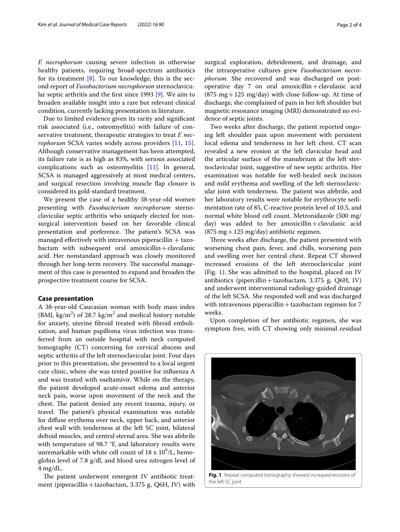*F. necrophorum* causing severe infection in otherwise healthy patients, requiring broad-spectrum antibiotics for its treatment  $[8]$  $[8]$ . To our knowledge, this is the second report of *Fusobacterium necrophorum* sternoclavicular septic arthritis and the frst since 1993 [[9](#page-3-0)]. We aim to broaden available insight into a rare but relevant clinical condition, currently lacking presentation in literature.

Due to limited evidence given its rarity and signifcant risk associated (i.e., osteomyelitis) with failure of conservative treatment, therapeutic strategies to treat *F. necrophorum* SCSA varies widely across providers [[11,](#page-3-1) [15](#page-3-2)]. Although conservative management has been attempted, its failure rate is as high as 83%, with serious associated complications such as osteomyelitis [\[11](#page-3-1)]. In general, SCSA is managed aggressively at most medical centers, and surgical resection involving muscle fap closure is considered its gold-standard treatment.

We present the case of a healthy 38-year-old women presenting with *Fusobacterium necrophorum* sternoclavicular septic arthritis who uniquely elected for nonsurgical intervention based on her favorable clinical presentation and preference. The patient's SCSA was managed effectively with intravenous piperacillin  $+$  tazobactam with subsequent oral amoxicillin + clavulanic acid. Her nonstandard approach was closely monitored through her long-term recovery. The successful management of this case is presented to expand and broaden the prospective treatment course for SCSA.

# **Case presentation**

A 38-year-old Caucasian woman with body mass index (BMI,  $\text{kg/m}^2$ ) of 28.7 kg/m<sup>2</sup> and medical history notable for anxiety, uterine fbroid treated with fbroid embolization, and human papilloma virus infection was transferred from an outside hospital with neck computed tomography (CT) concerning for cervical abscess and septic arthritis of the left sternoclavicular joint. Four days prior to this presentation, she presented to a local urgent care clinic, where she was tested positive for infuenza A and was treated with oseltamivir. While on the therapy, the patient developed acute-onset edema and anterior neck pain, worse upon movement of the neck and the chest. The patient denied any recent trauma, injury, or travel. The patient's physical examination was notable for difuse erythema over neck, upper back, and anterior chest wall with tenderness at the left SC joint, bilateral deltoid muscles, and central sternal area. She was afebrile with temperature of 98.7 °F, and laboratory results were unremarkable with white cell count of  $18 \times 10^9$ /L, hemoglobin level of 7.8 g/dl, and blood urea nitrogen level of 4 mg/dL.

The patient underwent emergent IV antibiotic treatment (piperacillin + tazobactam, 3.375 g, Q6H, IV) with surgical exploration, debridement, and drainage, and the intraoperative cultures grew *Fusobacterium necrophorum*. She recovered and was discharged on postoperative day 7 on oral amoxicillin + clavulanic acid  $(875 \text{ mg} + 125 \text{ mg/day})$  with close follow-up. At time of discharge, she complained of pain in her left shoulder but magnetic resonance imaging (MRI) demonstrated no evidence of septic joints.

Two weeks after discharge, the patient reported ongoing left shoulder pain upon movement with persistent local edema and tenderness in her left chest. CT scan revealed a new erosion at the left clavicular head and the articular surface of the manubrium at the left sternoclavicular joint, suggestive of new septic arthritis. Her examination was notable for well-healed neck incision and mild erythema and swelling of the left sternoclavicular joint with tenderness. The patient was afebrile, and her laboratory results were notable for erythrocyte sedimentation rate of 85, C-reactive protein level of 10.5, and normal white blood cell count. Metronidazole (500 mg/ day) was added to her amoxicillin+clavulanic acid  $(875 \text{ mg} + 125 \text{ mg/day})$  antibiotic regimen.

Three weeks after discharge, the patient presented with worsening chest pain, fever, and chills, worsening pain and swelling over her central chest. Repeat CT showed increased erosions of the left sternoclavicular joint (Fig. [1](#page-1-0)). She was admitted to the hospital, placed on IV antibiotics (pipercillin + tazobactam, 3.375 g, Q6H, IV) and underwent interventional radiology-guided drainage of the left SCSA. She responded well and was discharged with intravenous piperacillin  $+$  tazobactam regimen for  $7$ weeks.

Upon completion of her antibiotic regimen, she was symptom free, with CT showing only minimal residual

<span id="page-1-0"></span>

**Fig. 1** Repeat computed tomography showed increased erosions of the left SC joint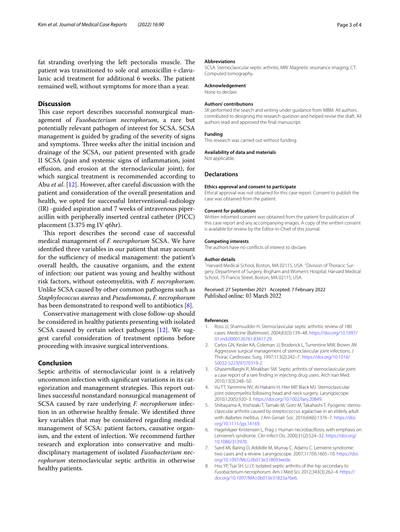fat stranding overlying the left pectoralis muscle. The patient was transitioned to sole oral amoxicillin  $+$  clavulanic acid treatment for additional 6 weeks. The patient remained well, without symptoms for more than a year.

# **Discussion**

This case report describes successful nonsurgical management of *Fusobacterium necrophorum*, a rare but potentially relevant pathogen of interest for SCSA. SCSA management is guided by grading of the severity of signs and symptoms. Three weeks after the initial incision and drainage of the SCSA, our patient presented with grade II SCSA (pain and systemic signs of infammation, joint efusion, and erosion at the sternoclavicular joint), for which surgical treatment is recommended according to Abu *et al*. [[12\]](#page-3-3). However, after careful discussion with the patient and consideration of the overall presentation and health, we opted for successful Interventional-radiology (IR) -guided aspiration and 7 weeks of intravenous piperacillin with peripherally inserted central catheter (PICC) placement (3.375 mg IV q6hr).

This report describes the second case of successful medical management of *F. necrophorum* SCSA. We have identifed three variables in our patient that may account for the sufficiency of medical management: the patient's overall health, the causative organism, and the extent of infection: our patient was young and healthy without risk factors, without osteomyelitis, with *F. necrophorum*. Unlike SCSA caused by other common pathogens such as *Staphylococcus aureus* and *Pseudomonas*, *F. necrophorum* has been demonstrated to respond well to antibiotics [[8\]](#page-2-6).

Conservative management with close follow-up should be considered in healthy patients presenting with isolated SCSA caused by certain select pathogens [[12\]](#page-3-3). We suggest careful consideration of treatment options before proceeding with invasive surgical interventions.

# **Conclusion**

Septic arthritis of sternoclavicular joint is a relatively uncommon infection with signifcant variations in its categorization and management strategies. This report outlines successful nonstandard nonsurgical management of SCSA caused by rare underlying *F. necrophorum* infection in an otherwise healthy female. We identifed three key variables that may be considered regarding medical management of SCSA: patient factors, causative organism, and the extent of infection. We recommend further research and exploration into conservative and multidisciplinary management of isolated *Fusobacterium necrophorum* sternoclavicular septic arthritis in otherwise healthy patients.

## **Abbreviations**

SCSA: Sternoclavicular septic arthritis; MRI: Magnetic resonance imaging; CT: Computed tomography.

#### **Acknowledgement**

None to declare.

## **Authors' contributions**

SK performed the search and writing under guidance from MBM. All authors contributed to designing the research question and helped revise the draft. All authors read and approved the fnal manuscript.

#### **Funding**

This research was carried out without funding.

#### **Availability of data and materials**

Not applicable.

# **Declarations**

#### **Ethics approval and consent to participate**

Ethical approval was not obtained for this case report. Consent to publish the case was obtained from the patient.

#### **Consent for publication**

Written informed consent was obtained from the patient for publication of this case report and any accompanying images. A copy of the written consent is available for review by the Editor-in-Chief of this journal.

## **Competing interests**

The authors have no conficts of interest to declare.

#### **Author details**

<sup>1</sup> Harvard Medical School, Boston, MA 02115, USA. <sup>2</sup> Division of Thoracic Surgery, Department of Surgery, Brigham and Women's Hospital, Harvard Medical School, 75 Francis Street, Boston, MA 02115, USA.

# Received: 27 September 2021 Accepted: 7 February 2022 Published online: 03 March 2022

#### **References**

- <span id="page-2-0"></span>1. Ross JJ, Shamsuddin H. Sternoclavicular septic arthritis: review of 180 cases. Medicine (Baltimore). 2004;83(3):139–48. [https://doi.org/10.1097/](https://doi.org/10.1097/01.md.0000126761.83417.29) [01.md.0000126761.83417.29.](https://doi.org/10.1097/01.md.0000126761.83417.29)
- <span id="page-2-1"></span>2. Carlos GN, Kesler KA, Coleman JJ, Broderick L, Turrentine MW, Brown JW. Aggressive surgical management of sternoclavicular joint infections. J Thorac Cardiovasc Surg. 1997;113(2):242–7. [https://doi.org/10.1016/](https://doi.org/10.1016/S0022-5223(97)70319-2) [S0022-5223\(97\)70319-2](https://doi.org/10.1016/S0022-5223(97)70319-2).
- <span id="page-2-2"></span>3. GhasemiBarghi R, Mirakbari SM. Septic arthritis of sternoclavicular joint: a case report of a rare fnding in injecting drug users. Arch Iran Med. 2010;13(3):248–50.
- 4. Vu TT, Yammine NV, Al-Hakami H, Hier MP, Black MJ. Sternoclavicular joint osteomyelitis following head and neck surgery. Laryngoscope. 2010;120(5):920–3. [https://doi.org/10.1002/lary.20849.](https://doi.org/10.1002/lary.20849)
- <span id="page-2-3"></span>5. Shibayama A, Yoshizaki T, Tamaki M, Goto M, Takahashi T. Pyogenic sternoclavicular arthritis caused by streptococcus agalactiae in an elderly adult with diabetes mellitus. J Am Geriatr Soc. 2016;64(6):1376–7. [https://doi.](https://doi.org/10.1111/jgs.14169) [org/10.1111/jgs.14169](https://doi.org/10.1111/jgs.14169).
- <span id="page-2-4"></span>6. Hagelskjaer Kristensen L, Prag J. Human necrobacillosis, with emphasis on Lemierre's syndrome. Clin Infect Dis. 2000;31(2):524–32. [https://doi.org/](https://doi.org/10.1086/313970) [10.1086/313970.](https://doi.org/10.1086/313970)
- <span id="page-2-5"></span>7. Syed MI, Baring D, Addidle M, Murray C, Adams C. Lemierre syndrome: two cases and a review. Laryngoscope. 2007;117(9):1605–10. [https://doi.](https://doi.org/10.1097/MLG.0b013e318093ee0e) [org/10.1097/MLG.0b013e318093ee0e](https://doi.org/10.1097/MLG.0b013e318093ee0e).
- <span id="page-2-6"></span>8. Hsu YP, Tsai SH, Li LY. Isolated septic arthritis of the hip secondary to *Fusobacterium necrophorum*. Am J Med Sci. 2012;343(3):262–4. [https://](https://doi.org/10.1097/MAJ.0b013e31823a76e6) [doi.org/10.1097/MAJ.0b013e31823a76e6](https://doi.org/10.1097/MAJ.0b013e31823a76e6).